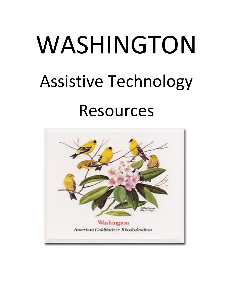# WASHINGTON Assistive Technology Resources

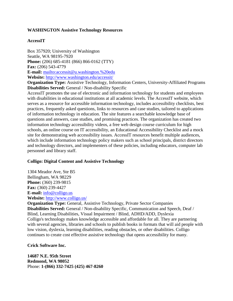## **WASHINGTON Assistive Technology Resources**

## **AccessIT**

Box 357920; University of Washington Seattle, WA 98195-7920 **Phone:** (206) 685-4181 (866) 866-0162 (TTY) **Fax:** (206) 543-4779 **E-mail:** <mailto:accessit@u.washington.%20edu> **Website:** <http://www.washington.edu/accessit/>

**Organization Type:** Assistive Technology, Information Centers, University-Affiliated Programs **Disabilities Served:** General / Non-disability Specific

AccessIT promotes the use of electronic and information technology for students and employees with disabilities in educational institutions at all academic levels. The AccessIT website, which serves as a resource for accessible information technology, includes accessibility checklists, best practices, frequently asked questions, links to resources and case studies, tailored to applications of information technology in education. The site features a searchable knowledge base of questions and answers, case studies, and promising practices. The organization has created two information technology accessibility videos, a free web design course curriculum for high schools, an online course on IT accessibility, an Educational Accessibility Checklist and a mock site for demonstrating web accessibility issues. AccessIT resources benefit multiple audiences, which include information technology policy makers such as school principals, district directors and technology directors, and implementers of these policies, including educators, computer lab personnel and library staff.

#### **Colligo: Digital Content and Assistive Technology**

1304 Meador Ave, Ste B5 Bellingham, WA 98229 **Phone:** (360) 239-9815 **Fax:** (360) 239-4427 **E-mail:** [info@colligo.us](mailto:info@colligo.us) **Website:** <http://www.colligo.us/>

**Organization Type:** General, Assistive Technology, Private Sector Companies **Disabilities Served:** General / Non-disability Specific, Communication and Speech, Deaf / Blind, Learning Disabilities, Visual Impairment / Blind, ADHD/ADD, Dyslexia Colligo's technology makes knowledge accessible and affordable for all. They are partnering with several agencies, libraries and schools to publish books in formats that will aid people with low vision, dyslexia, learning disabilities, reading obstacles, or other disabilities. Colligo continues to create cost effective assistive technology that opens accessibility for many.

#### **Crick Software Inc.**

**14687 N.E. 95th Street Redmond, WA 98052** Phone: **1-(866) 332-7425 (425) 467-8260**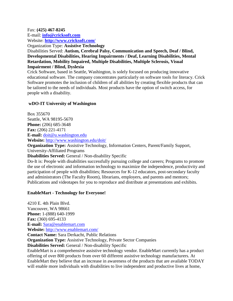#### Fax: **(425) 467-8245**

E-mail: **[info@cricksoft.com](mailto:info@cricksoft.com)** Website: **<http://www.cricksoft.com/>**

Organization Type: **Assistive Technology**

Disabilities Served: **Autism, Cerebral Palsy, Communication and Speech, Deaf / Blind, Developmental Disabilities, Hearing Impairments / Deaf, Learning Disabilities, Mental Retardation, Mobility Impaired, Multiple Disabilities, Multiple Sclerosis, Visual Impairment / Blind, Dyslexia**

Crick Software, based in Seattle, Washington, is solely focused on producing innovative educational software. The company concentrates particularly on software tools for literacy. Crick Software promotes the inclusion of children of all abilities by creating flexible products that can be tailored to the needs of individuals. Most products have the option of switch access, for people with a disability.

# **wDO-IT University of Washington**

Box 355670 Seattle, WA 98195-5670 **Phone:** (206) 685-3648 **Fax:** (206) 221-4171 **E-mail:** [doit@u.washington.edu](mailto:doit@u.washington.edu) **Website:** <http://www.washington.edu/doit/>

**Organization Type:** Assistive Technology, Information Centers, Parent/Family Support, University-Affiliated Programs

**Disabilities Served:** General / Non-disability Specific

Do-It is: People with disabilities successfully pursuing college and careers; Programs to promote the use of electronic and information technology to maximize the independence, productivity and participation of people with disabilities; Resources for K-12 educators, post-secondary faculty and administrators (The Faculty Room), librarians, employers, and parents and mentors; Publications and videotapes for you to reproduce and distribute at presentations and exhibits.

## **EnableMart - Technology for Everyone!**

4210 E. 4th Plain Blvd. Vancouver, WA 98661 **Phone:** 1-(888) 640-1999 **Fax:** (360) 695-4133 **E-mail:** [Sara@enablemart.com](mailto:Sara@enablemart.com) **Website:** <http://www.enablemart.com/> **Contact Name:** Sara Derkacht, Public Relations **Organization Type:** Assistive Technology, Private Sector Companies **Disabilities Served:** General / Non-disability Specific EnableMart is a comprehensive assistive technology vendor. EnableMart currently has a product offering of over 800 products from over 60 different assistive technology manufacturers. At EnableMart they believe that an increase in awareness of the products that are available TODAY will enable more individuals with disabilities to live independent and productive lives at home,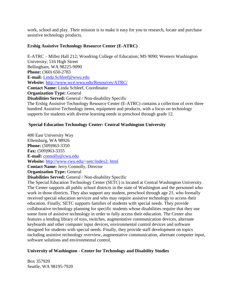work, school and play. Their mission is to make it easy for you to research, locate and purchase assistive technology products.

## **Ershig Assistive Technology Resource Center (E-ATRC)**

E-ATRC – Miller Hall 212; Woodring College of Education; MS 9090; Western Washington University; 516 High Street Bellingham, WA 98225-9090 **Phone:** (360) 650-2783 **E-mail:** [Linda.Schleef@wwu.edu](mailto:Linda.Schleef@wwu.edu) **Website:** <http://www.wce.wwu.edu/Resources/ATRC/> **Contact Name:** Linda Schleef, Coordinator **Organization Type:** General **Disabilities Served:** General / Non-disability Specific The Ershig Assistive Technology Resource Center (E-ATRC) contains a collection of over three hundred Assistive Technology items, equipment and products, with a focus on technology supports for students with diverse learning needs in preschool through grade 12.

## **Special Education Technology Center: Central Washington University**

400 East University Way Ellensburg, WA 98926 **Phone:** (509)963-3350 **Fax:** (509)963-3355 **E-mail:** [connolly@cwu.edu](mailto:connolly@cwu.edu) **Website:** [http://www.cwu.edu/~setc/index2. html](http://www.cwu.edu/~setc/index2.html) **Contact Name:** Jerry Connolly, Director **Organization Type:** General **Disabilities Served:** General / Non-disability Specific The Special Education Technology Center (SETC) is located at Central Washington University. The Center supports all public school districts in the state of Washington and the personnel who work in those districts. They also support any student, preschool through age 21, who formally received special education services and who may require assistive technology to access their education. Finally, SETC supports families of students with special needs. They provide collaborative technology planning for specific students whose disabilities require that they use some form of assistive technology in order to fully access their education. The Center also features a lending library of toys, switches, augmentative communication devices, alternate keyboards and other computer input devices, environmental control devices and software designed for students with special needs. Finally, they provide staff development on topics including assistive technology overview, augmentative communication, alternate computer input, software solutions and environmental control.

## **University of Washington - Center for Technology and Disability Studies**

Box 357920 Seattle, WA 98195-7920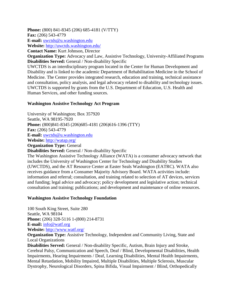**Phone:** (800) 841-8345 (206) 685-4181 (V/TTY)

**Fax:** (206) 543-4779

**E-mail:** [uwctds@u.washington.edu](mailto:uwctds@u.washington.edu)

**Website:** <http://uwctds.washington.edu/>

**Contact Name:** Kurt Johnson, Director

**Organization Type:** Advocacy and Law, Assistive Technology, University-Affiliated Programs **Disabilities Served:** General / Non-disability Specific

UWCTDS is an interdisciplinary program located in the Center for Human Development and Disability and is linked to the academic Department of Rehabilitation Medicine in the School of Medicine. The Center provides integrated research, education and training, technical assistance and consultation, policy analysis, and legal advocacy related to disability and technology issues. UWCTDS is supported by grants from the U.S. Department of Education, U.S. Health and Human Services, and other funding sources.

## **Washington Assistive Technology Act Program**

University of Washington; Box 357920 Seattle, WA 98195-7920 **Phone:** (800)841-8345 (206)685-4181 (206)616-1396 (TTY) **Fax:** (206) 543-4779 **E-mail:** [uwctds@u.washington.edu](mailto:uwctds@u.washington.edu) **Website:** <http://watap.org/> **Organization Type:** General

**Disabilities Served:** General / Non-disability Specific

The Washington Assistive Technology Alliance (WATA) is a consumer advocacy network that includes the University of Washington Center for Technology and Disability Studies (UWCTDS), and the AT Resource Center at Easter Seals Washington (EATRC). WATA also receives guidance from a Consumer Majority Advisory Board. WATA activities include: information and referral; consultation, and training related to selection of AT devices, services and funding; legal advice and advocacy; policy development and legislative action; technical consultation and training; publications; and development and maintenance of online resources.

#### **Washington Assistive Technology Foundation**

100 South King Street, Suite 280 Seattle, WA 98104 **Phone:** (206) 328-5116 1-(800) 214-8731 **E-mail:** [info@watf.org](mailto:info@watf.org) **Website:** <http://www.watf.org/>

**Organization Type:** Assistive Technology, Independent and Community Living, State and Local Organizations

**Disabilities Served:** General / Non-disability Specific, Autism, Brain Injury and Stroke, Cerebral Palsy, Communication and Speech, Deaf / Blind, Developmental Disabilities, Health Impairments, Hearing Impairments / Deaf, Learning Disabilities, Mental Health Impairments, Mental Retardation, Mobility Impaired, Multiple Disabilities, Multiple Sclerosis, Muscular Dystrophy, Neurological Disorders, Spina Bifida, Visual Impairment / Blind, Orthopedically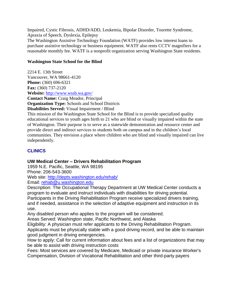Impaired, Cystic Fibrosis, ADHD/ADD, Leukemia, Bipolar Disorder, Tourette Syndrome, Apraxia of Speech, Dyslexia, Epilepsy

The Washington Assistive Technology Foundation (WATF) provides low interest loans to purchase assistive technology or business equipment. WATF also rents CCTV magnifiers for a reasonable monthly fee. WATF is a nonprofit organization serving Washington State residents.

# **Washington State School for the Blind**

2214 E. 13th Street Vancouver, WA 98661-4120 **Phone:** (360) 696-6321 **Fax:** (360) 737-2120 **Website:** <http://www.wssb.wa.gov/> **Contact Name:** Craig Meador, Principal

**Organization Type:** Schools and School Districts

**Disabilities Served:** Visual Impairment / Blind

This mission of the Washington State School for the Blind is to provide specialized quality educational services to youth ages birth to 21 who are blind or visually impaired within the state of Washington. Their purpose is to serve as a statewide demonstration and resource center and provide direct and indirect services to students both on campus and in the children's local communities. They envision a place where children who are blind and visually impaired can live independently.

# **CLINICS**

# **UW Medical Center – Drivers Rehabilitation Program**

1959 N.E. Pacific, Seattle, WA 98195 Phone: 206-543-3600 Web site:<http://depts.washington.edu/rehab/> Email: [rehab@u.washington.edu](mailto:rehab@u.washington.edu)

Description: The Occupational Therapy Department at UW Medical Center conducts a program to evaluate and instruct individuals with disabilities for driving potential. Participants in the Driving Rehabilitation Program receive specialized drivers training, and if needed, assistance in the selection of adaptive equipment and instruction in its use.

Any disabled person who applies to the program will be considered.

Areas Served: Washington state, Pacific Northwest, and Alaska

Eligibility: A physician must refer applicants to the Driving Rehabilitation Program. Applicants must be physically stable with a good driving record, and be able to maintain good judgment in driving emergencies.

How to apply: Call for current information about fees and a list of organizations that may be able to assist with driving instruction costs

Fees: Most services are covered by Medicare, Medicaid or private insurance Worker's Compensation, Division of Vocational Rehabilitation and other third-party payers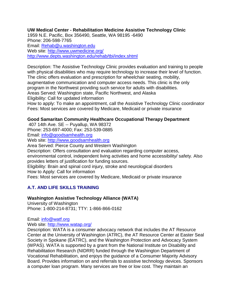# **UW Medical Center - Rehabilitation Medicine Assistive Technology Clinic**

1959 N.E. Pacific, Box 356490, Seattle, WA 98195 -6490 Phone: 206-598-7765 Email: [Rehab@u.washington.edu](mailto:Rehab@u.washington.edu) Web site:<http://www.uwmedicine.org/> <http://www.depts.washington.edu/rehab/tbi/index.shtml>

Description: The Assistive Technology Clinic provides evaluation and training to people with physical disabilities who may require technology to increase their level of function. The clinic offers evaluation and prescription for wheelchair seating, mobility, augmentative communication and computer access needs. This clinic is the only program in the Northwest providing such service for adults with disabilities. Areas Served: Washington state, Pacific Northwest, and Alaska Eligibility: Call for updated information

How to apply: To make an appointment, call the Assistive Technology Clinic coordinator Fees: Most services are covered by Medicare, Medicaid or private insurance

# **Good Samaritan Community Healthcare Occupational Therapy Department**

407 14th Ave. SE -- Puyallup, WA 98372 Phone: 253-697-4000; Fax: 253-539-0885

Email: [info@goodsamhealth.org](mailto:info@goodsamhealth.org)

Web site: [http://www.goodsamhealth.org](http://www.goodsamhealth.org/)

Area Served: Pierce County and Western Washington

Description: Offers consultation and evaluation regarding computer access,

environmental control, independent living activities and home accessibility/ safety. Also provides letters of justification for funding sources.

Eligibility: Brain and spinal cord injury, stroke and neurological disorders How to Apply: Call for information

Fees: Most services are covered by Medicare, Medicaid or private insurance

# **A.T. AND LIFE SKILLS TRAINING**

# **Washington Assistive Technology Alliance (WATA)**

University of Washington Phone: 1-800-214-8731; TTY: 1-866-866-0162

Email: [info@watf.org](mailto:info@watf.org)

Web site: [http://www.watap.org/](http://www.wata.org/)

Description: WATA is a consumer advocacy network that includes the AT Resource Center at the University of Washington (ATRC), the AT Resource Center at Easter Seal Society in Spokane (EATRC), and the Washington Protection and Advocacy System (WPAS). WATA is supported by a grant from the National Institute on Disability and Rehabilitation Research (NIDRR) funded through the Washington Department of Vocational Rehabilitation, and enjoys the guidance of a Consumer Majority Advisory Board. Provides information on and referrals to assistive technology devices. Sponsors a computer loan program. Many services are free or low cost. They maintain an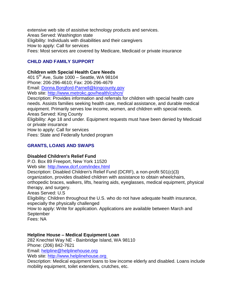extensive web site of assistive technology products and services. Areas Served: Washington state Eligibility: Individuals with disabilities and their caregivers How to apply: Call for services Fees: Most services are covered by Medicare, Medicaid or private insurance

# **CHILD AND FAMILY SUPPORT**

## **Children with Special Health Care Needs**

401  $5^{th}$  Ave, Suite 1000 – Seattle, WA 98104 Phone: 206-296-4610; Fax: 206-296-4679 Email: [Donna.Borgford-Parnell@kingcounty.gov](mailto:Donna.Borgford-Parnell@kingcounty.gov) Web site:<http://www.metrokc.gov/health/cshcn/> Description: Provides information and referrals for children with special health care needs. Assists families seeking health care, medical assistance, and durable medical equipment. Primarily serves low income, women, and children with special needs. Areas Served: King County Eligibility: Age 18 and under. Equipment requests must have been denied by Medicaid or private insurance How to apply: Call for services Fees: State and Federally funded program

# **GRANTS, LOANS AND SWAPS**

## **Disabled Children's Relief Fund**

P.O. Box 89 Freeport, New York 11520 Web site:<http://www.dcrf.com/index.html> Description: Disabled Children's Relief Fund (DCRF), a non-profit 501(c)(3) organization, provides disabled children with assistance to obtain wheelchairs, orthopedic braces, walkers, lifts, hearing aids, eyeglasses, medical equipment, physical therapy, and surgery. Areas Served: U.S Eligibility: Children throughout the U.S. who do not have adequate health insurance, especially the physically challenged How to apply: Write for application. Applications are available between March and September Fees: NA

## **Helpline House – Medical Equipment Loan**

282 Knechtel Way NE - Bainbridge Island, WA 98110 Phone: (206) 842-7621 Email: [helpline@helplinehouse.org](mailto:helpline@helplinehouse.org)

Web site: [http://www.helplinehouse.org](http://www.helplinehouse.org/)

Description: Medical equipment loans to low income elderly and disabled. Loans include mobility equipment, toilet extenders, crutches, etc.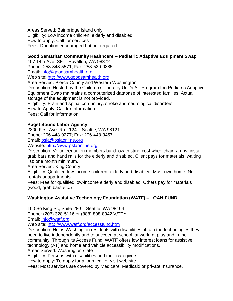Areas Served: Bainbridge Island only Eligibility: Low income children, elderly and disabled How to apply: Call for services Fees: Donation encouraged but not required

# **Good Samaritan Community Healthcare – Pediatric Adaptive Equipment Swap**

407 14th Ave. SE -- Puyallup, WA 98372 Phone: 253-848-5571; Fax: 253-539-0885 Email: [info@goodsamhealth.org](mailto:info@goodsamhealth.org) Web site: [http://www.goodsamhealth.org](http://www.goodsamhealth.org/) Area Served: Pierce County and Western Washington Description: Hosted by the Children's Therapy Unit's AT Program the Pediatric Adaptive Equipment Swap maintains a computerized database of interested families. Actual storage of the equipment is not provided. Eligibility: Brain and spinal cord injury, stroke and neurological disorders How to Apply: Call for information Fees: Call for information

## **Puget Sound Labor Agency**

2800 First Ave. Rm. 124 – Seattle, WA 98121 Phone: 206-448-9277; Fax: 206-448-3457 Email: [psla@pslaonline.org](mailto:psla@pslaonline.org) Website: [http://www.pslaonline.org](http://www.pslaonline.org/)

Description: Volunteer union members build low-cost/no-cost wheelchair ramps, install grab bars and hand rails for the elderly and disabled. Client pays for materials; waiting list; one month minimum.

Area Served: King County

Eligibility: Qualified low-income children, elderly and disabled. Must own home. No rentals or apartments

Fees: Free for qualified low-income elderly and disabled. Others pay for materials (wood, grab bars etc.)

# **Washington Assistive Technology Foundation (WATF) – LOAN FUND**

100 So King St., Suite 280 – Seattle, WA 98104 Phone: (206) 328-5116 or (888) 808-8942 V/TTY Email: [info@watf.org](mailto:info@watf.org) Web site:<http://www.watf.org/accessfund.htm> Description: Helps Washington residents with disabilities obtain the technologies they need to live independently and to succeed at school, at work, at play and in the community. Through its Access Fund, WATF offers low interest loans for assistive technology (AT) and home and vehicle accessibility modifications. Areas Served: Washington state Eligibility: Persons with disabilities and their caregivers How to apply: To apply for a loan, call or visit web site Fees: Most services are covered by Medicare, Medicaid or private insurance.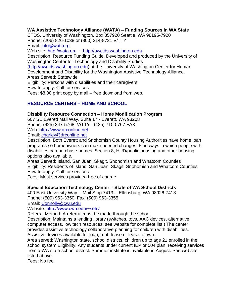# **WA Assistive Technology Alliance (WATA) – Funding Sources in WA State**

CTDS, University of Washington, Box 357920 Seattle, WA 98195-7920 Phone: (206) 826-1038 or (800) 214-8731 V/TTY Email: [info@watf.org](mailto:info@watf.org) Web site: [http://wata.org](http://wata.org/) – [http://uwctds.washington.edu](http://uwctds.washington.edu/) Description: Resource Funding Guide. Developed and produced by the University of Washington Center for Technology and Disability Studies [\(http://uwctds.washington.edu\)](http://uwctds.washington.edu/) at the University of Washington Center for Human Development and Disability for the Washington Assistive Technology Alliance. Areas Served: Statewide Eligibility: Persons with disabilities and their caregivers How to apply: Call for services Fees: \$8.00 print copy by mail – free download from web.

# **RESOURCE CENTERS – HOME AND SCHOOL**

## **Disability Resource Connection – Home Modification Program**

607 SE Everett Mall Way, Suite 17 - Everett, WA 98208 Phone: (425) 347-5768: V/TTY - (425) 710-0767 FAX Web: [http://www.drconline.net](http://www.drconline.net/)

Email: [charley@drconline.net](mailto:charley@drconline.net)

Description: Both Everett and Snohomish County Housing Authorities have home loan programs so homeowners can make needed changes. Find ways in which people with disabilities can purchase homes. Section 8, HUD/public housing and other housing options also available.

Areas Served: Island, San Juan, Skagit, Snohomish and Whatcom Counties Eligibility: Residents of Island, San Juan, Skagit, Snohomish and Whatcom Counties How to apply: Call for services

Fees: Most services provided free of charge

## **Special Education Technology Center – State of WA School Districts**

400 East University Way -- Mail Stop 7413 -- Ellensburg, WA 98926-7413 Phone: (509) 963-3350; Fax: (509) 963-3355

Email: [Connolly@cwu.edu](mailto:Connolly@cwu.edu)

Website:<http://www.cwu.edu/~setc/>

Referral Method: A referral must be made through the school

Description: Maintains a lending library (switches, toys, AAC devices, alternative computer access, low tech resources; see website for complete list.) The center provides assistive technology collaborative planning for children with disabilities. Assistive devices available for loan, rent, lease or lease to own.

Area served: Washington state, school districts, children up to age 21 enrolled in the school system Eligibility: Any students under current IEP or 504 plan, receiving services from a WA state school district. Summer institute is available in August. See website listed above.

Fees: No fee